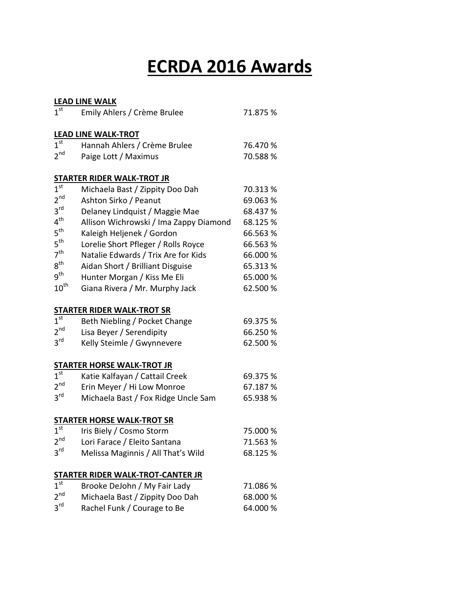# **ECRDA 2016 Awards**

#### **LEAD LINE WALK**

| 1 <sup>st</sup>                          | Emily Ahlers / Crème Brulee            | 71.875 % |  |  |
|------------------------------------------|----------------------------------------|----------|--|--|
|                                          | <b>LEAD LINE WALK-TROT</b>             |          |  |  |
| 1 <sup>st</sup>                          | Hannah Ahlers / Crème Brulee           | 76.470 % |  |  |
| 2 <sup>nd</sup>                          | Paige Lott / Maximus                   | 70.588%  |  |  |
|                                          |                                        |          |  |  |
|                                          | <b>STARTER RIDER WALK-TROT JR</b>      |          |  |  |
| 1 <sup>st</sup>                          | Michaela Bast / Zippity Doo Dah        | 70.313 % |  |  |
| 2 <sup>nd</sup>                          | Ashton Sirko / Peanut                  | 69.063 % |  |  |
| 3 <sup>rd</sup>                          | Delaney Lindquist / Maggie Mae         | 68.437 % |  |  |
| $4^{\text{th}}$                          | Allison Wichrowski / Ima Zappy Diamond | 68.125 % |  |  |
| $5^{\text{th}}$                          | Kaleigh Heljenek / Gordon              | 66.563 % |  |  |
| 5 <sup>th</sup>                          | Lorelie Short Pfleger / Rolls Royce    | 66.563 % |  |  |
| 7 <sup>th</sup>                          | Natalie Edwards / Trix Are for Kids    | 66.000 % |  |  |
| $8^{\text{th}}$                          | Aidan Short / Brilliant Disguise       | 65.313 % |  |  |
| 9 <sup>th</sup>                          | Hunter Morgan / Kiss Me Eli            | 65.000 % |  |  |
| $10^{\text{th}}$                         | Giana Rivera / Mr. Murphy Jack         | 62.500 % |  |  |
|                                          | <b>STARTER RIDER WALK-TROT SR</b>      |          |  |  |
| 1 <sup>st</sup>                          | Beth Niebling / Pocket Change          | 69.375 % |  |  |
| 2 <sub>nd</sub>                          | Lisa Beyer / Serendipity               | 66.250 % |  |  |
| 3 <sup>rd</sup>                          | Kelly Steimle / Gwynnevere             | 62.500 % |  |  |
|                                          | <b>STARTER HORSE WALK-TROT JR</b>      |          |  |  |
| 1 <sup>st</sup>                          | Katie Kalfayan / Cattail Creek         | 69.375 % |  |  |
| 2 <sup>nd</sup>                          | Erin Meyer / Hi Low Monroe             | 67.187%  |  |  |
| 3 <sup>rd</sup>                          | Michaela Bast / Fox Ridge Uncle Sam    | 65.938%  |  |  |
|                                          | <b>STARTER HORSE WALK-TROT SR</b>      |          |  |  |
| 1 <sup>st</sup>                          | Iris Biely / Cosmo Storm               | 75.000 % |  |  |
| 2 <sup>nd</sup>                          | Lori Farace / Eleito Santana           | 71.563 % |  |  |
| 3 <sup>rd</sup>                          | Melissa Maginnis / All That's Wild     | 68.125 % |  |  |
| <b>STARTER RIDER WALK-TROT-CANTER JR</b> |                                        |          |  |  |
| 1 <sup>st</sup>                          | Brooke DeJohn / My Fair Lady           | 71.086%  |  |  |
| 2 <sup>nd</sup>                          | Michaela Bast / Zippity Doo Dah        | 68.000 % |  |  |
| 3 <sup>rd</sup>                          | Rachel Funk / Courage to Be            | 64.000 % |  |  |
|                                          |                                        |          |  |  |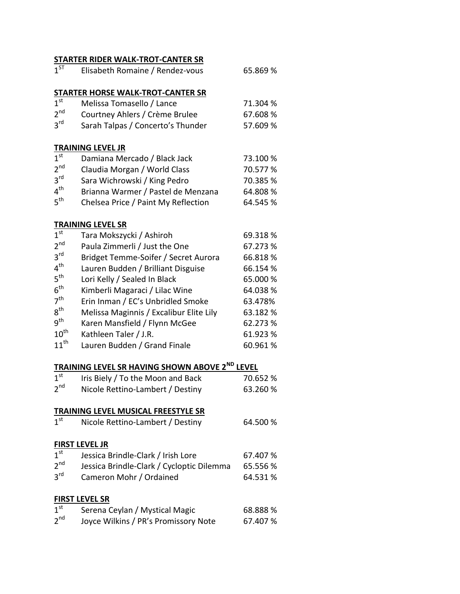### **STARTER RIDER WALK-TROT-CANTER SR**

|                                            | STARTER RIDER WALK-TROT-CANTER SR                          |          |  |  |
|--------------------------------------------|------------------------------------------------------------|----------|--|--|
| $1^{5}$                                    | Elisabeth Romaine / Rendez-vous                            | 65.869 % |  |  |
|                                            | STARTER HORSE WALK-TROT-CANTER SR                          |          |  |  |
| 1 <sup>st</sup>                            | Melissa Tomasello / Lance                                  | 71.304 % |  |  |
| 2 <sup>nd</sup>                            | Courtney Ahlers / Crème Brulee                             | 67.608 % |  |  |
| 3 <sup>rd</sup>                            | Sarah Talpas / Concerto's Thunder                          | 57.609 % |  |  |
|                                            | <b>TRAINING LEVEL JR</b>                                   |          |  |  |
| 1 <sup>st</sup>                            | Damiana Mercado / Black Jack                               | 73.100 % |  |  |
| 2 <sup>nd</sup>                            | Claudia Morgan / World Class                               | 70.577 % |  |  |
| 3 <sup>rd</sup>                            | Sara Wichrowski / King Pedro                               | 70.385 % |  |  |
| 4 <sup>th</sup>                            | Brianna Warmer / Pastel de Menzana                         | 64.808 % |  |  |
| 5 <sup>th</sup>                            | Chelsea Price / Paint My Reflection                        | 64.545 % |  |  |
|                                            | <b>TRAINING LEVEL SR</b>                                   |          |  |  |
| 1 <sup>st</sup>                            | Tara Mokszycki / Ashiroh                                   | 69.318%  |  |  |
| 2 <sup>nd</sup>                            | Paula Zimmerli / Just the One                              | 67.273 % |  |  |
| 3 <sup>rd</sup>                            | Bridget Temme-Soifer / Secret Aurora                       | 66.818%  |  |  |
| 4 <sup>th</sup>                            | Lauren Budden / Brilliant Disguise                         | 66.154 % |  |  |
| $5^{\text{th}}$                            | Lori Kelly / Sealed In Black                               | 65.000 % |  |  |
| $6^{\text{th}}$                            | Kimberli Magaraci / Lilac Wine                             | 64.038%  |  |  |
| 7 <sup>th</sup>                            | Erin Inman / EC's Unbridled Smoke                          | 63.478%  |  |  |
| $8^{\text{th}}$                            | Melissa Maginnis / Excalibur Elite Lily                    | 63.182 % |  |  |
| 9 <sup>th</sup>                            | Karen Mansfield / Flynn McGee                              | 62.273 % |  |  |
| $10^{\text{th}}$                           | Kathleen Taler / J.R.                                      | 61.923 % |  |  |
| $11^{th}$                                  | Lauren Budden / Grand Finale                               | 60.961%  |  |  |
|                                            | TRAINING LEVEL SR HAVING SHOWN ABOVE 2 <sup>ND</sup> LEVEL |          |  |  |
| 1 <sup>st</sup>                            | Iris Biely / To the Moon and Back                          | 70.652 % |  |  |
| 2 <sup>nd</sup>                            | Nicole Rettino-Lambert / Destiny                           | 63.260%  |  |  |
| <u>TRAINING LEVEL MUSICAL FREESTYLE SR</u> |                                                            |          |  |  |
| 1 <sup>st</sup>                            | Nicole Rettino-Lambert / Destiny                           | 64.500 % |  |  |
|                                            | <b>FIRST LEVEL JR</b>                                      |          |  |  |
| 1 <sup>st</sup>                            | Jessica Brindle-Clark / Irish Lore                         | 67.407 % |  |  |
| $2^{nd}$                                   | Jessica Brindle-Clark / Cycloptic Dilemma                  | 65.556 % |  |  |
| 3 <sup>rd</sup>                            | Cameron Mohr / Ordained                                    | 64.531%  |  |  |
| <u>FIRST LEVEL SR</u>                      |                                                            |          |  |  |
| 1 <sup>st</sup>                            | Serena Ceylan / Mystical Magic                             | 68.888%  |  |  |
| 2 <sup>nd</sup>                            | Joyce Wilkins / PR's Promissory Note                       | 67.407 % |  |  |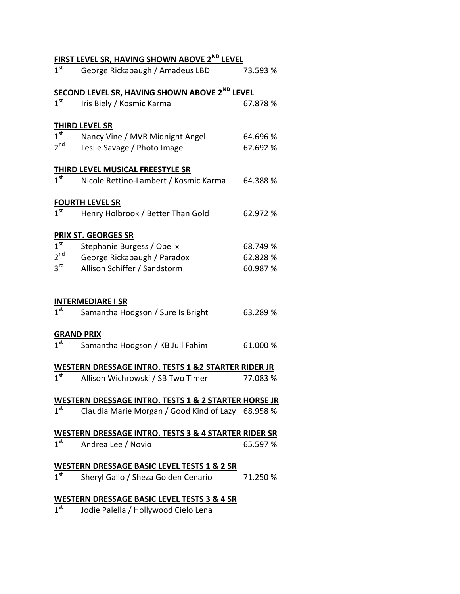| <b>FIRST LEVEL SR, HAVING SHOWN ABOVE 2<sup>ND</sup> LEVEL</b> |                                                                 |          |  |
|----------------------------------------------------------------|-----------------------------------------------------------------|----------|--|
| 1 <sup>st</sup>                                                | George Rickabaugh / Amadeus LBD                                 | 73.593 % |  |
|                                                                | <b>SECOND LEVEL SR, HAVING SHOWN ABOVE 2<sup>ND</sup> LEVEL</b> |          |  |
| 1 <sup>st</sup>                                                | Iris Biely / Kosmic Karma                                       | 67.878 % |  |
|                                                                | <b>THIRD LEVEL SR</b>                                           |          |  |
| 1 <sup>st</sup>                                                | Nancy Vine / MVR Midnight Angel                                 | 64.696 % |  |
| 2 <sup>nd</sup>                                                | Leslie Savage / Photo Image                                     | 62.692 % |  |
|                                                                | THIRD LEVEL MUSICAL FREESTYLE SR                                |          |  |
| 1 <sup>st</sup>                                                | Nicole Rettino-Lambert / Kosmic Karma                           | 64.388%  |  |
|                                                                | <b>FOURTH LEVEL SR</b>                                          |          |  |
| 1 <sup>st</sup>                                                | Henry Holbrook / Better Than Gold                               | 62.972 % |  |
|                                                                | <b>PRIX ST. GEORGES SR</b>                                      |          |  |
| $1^{\text{st}}$                                                | Stephanie Burgess / Obelix                                      | 68.749 % |  |
| $2^{nd}$                                                       | George Rickabaugh / Paradox                                     | 62.828 % |  |
| $3^{\text{rd}}$                                                | Allison Schiffer / Sandstorm                                    | 60.987 % |  |
|                                                                | <b>INTERMEDIARE I SR</b>                                        |          |  |
| 1 <sup>st</sup>                                                | Samantha Hodgson / Sure Is Bright                               | 63.289 % |  |
| <b>GRAND PRIX</b>                                              |                                                                 |          |  |
| 1 <sup>st</sup>                                                | Samantha Hodgson / KB Jull Fahim                                | 61.000 % |  |
|                                                                | <b>WESTERN DRESSAGE INTRO. TESTS 1 &amp;2 STARTER RIDER JR</b>  |          |  |
| 1 <sup>st</sup>                                                | Allison Wichrowski / SB Two Timer                               | 77.083 % |  |
|                                                                | <b>WESTERN DRESSAGE INTRO. TESTS 1 &amp; 2 STARTER HORSE JR</b> |          |  |
| 1 <sup>st</sup>                                                | Claudia Marie Morgan / Good Kind of Lazy 68.958 %               |          |  |
|                                                                | <b>WESTERN DRESSAGE INTRO. TESTS 3 &amp; 4 STARTER RIDER SR</b> |          |  |
| 1 <sup>st</sup>                                                | Andrea Lee / Novio                                              | 65.597 % |  |
|                                                                | <b>WESTERN DRESSAGE BASIC LEVEL TESTS 1 &amp; 2 SR</b>          |          |  |
| 1 <sup>st</sup>                                                | Sheryl Gallo / Sheza Golden Cenario                             | 71.250 % |  |
|                                                                | <b>WESTERN DRESSAGE BASIC LEVEL TESTS 3 &amp; 4 SR</b>          |          |  |
| 1 <sup>st</sup>                                                | Jodie Palella / Hollywood Cielo Lena                            |          |  |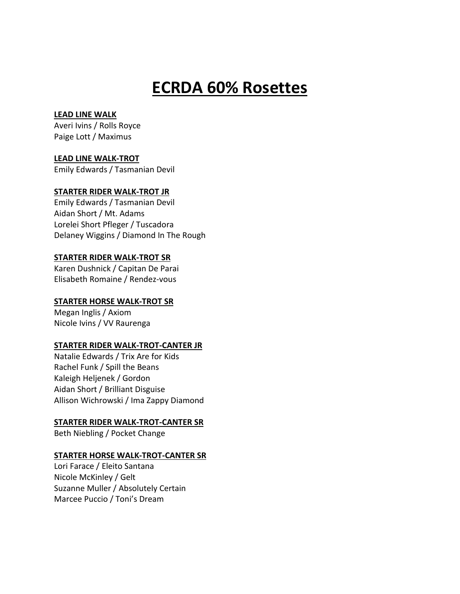## **ECRDA 60% Rosettes**

#### **LEAD LINE WALK**

Averi Ivins / Rolls Royce Paige Lott / Maximus

#### **LEAD LINE WALK-TROT**

Emily Edwards / Tasmanian Devil

#### **STARTER RIDER WALK-TROT JR**

Emily Edwards / Tasmanian Devil Aidan Short / Mt. Adams Lorelei Short Pfleger / Tuscadora Delaney Wiggins / Diamond In The Rough

#### **STARTER RIDER WALK-TROT SR**

Karen Dushnick / Capitan De Parai Elisabeth Romaine / Rendez-vous

#### **STARTER HORSE WALK-TROT SR**

Megan Inglis / Axiom Nicole Ivins / VV Raurenga

#### **STARTER RIDER WALK-TROT-CANTER JR**

Natalie Edwards / Trix Are for Kids Rachel Funk / Spill the Beans Kaleigh Heljenek / Gordon Aidan Short / Brilliant Disguise Allison Wichrowski / Ima Zappy Diamond

**STARTER RIDER WALK-TROT-CANTER SR**

Beth Niebling / Pocket Change

#### **STARTER HORSE WALK-TROT-CANTER SR**

Lori Farace / Eleito Santana Nicole McKinley / Gelt Suzanne Muller / Absolutely Certain Marcee Puccio / Toni's Dream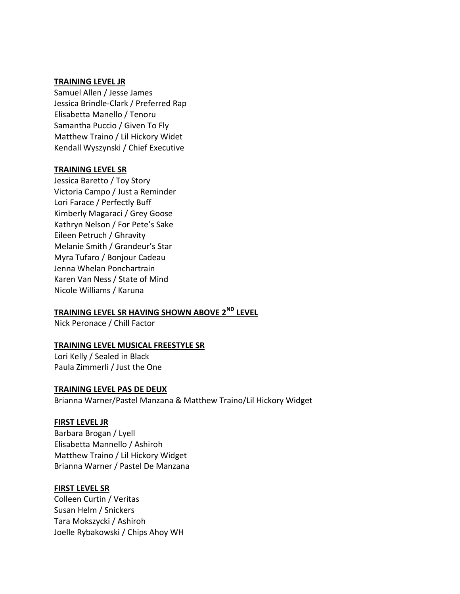#### **TRAINING LEVEL JR**

Samuel Allen / Jesse James Jessica Brindle-Clark / Preferred Rap Elisabetta Manello / Tenoru Samantha Puccio / Given To Fly Matthew Traino / Lil Hickory Widet Kendall Wyszynski / Chief Executive

#### **TRAINING LEVEL SR**

Jessica Baretto / Toy Story Victoria Campo / Just a Reminder Lori Farace / Perfectly Buff Kimberly Magaraci / Grey Goose Kathryn Nelson / For Pete's Sake Eileen Petruch / Ghravity Melanie Smith / Grandeur's Star Myra Tufaro / Bonjour Cadeau Jenna Whelan Ponchartrain Karen Van Ness / State of Mind Nicole Williams / Karuna

### **TRAINING LEVEL SR HAVING SHOWN ABOVE 2ND LEVEL**

Nick Peronace / Chill Factor

#### **TRAINING LEVEL MUSICAL FREESTYLE SR**

Lori Kelly / Sealed in Black Paula Zimmerli / Just the One

#### **TRAINING LEVEL PAS DE DEUX**

Brianna Warner/Pastel Manzana & Matthew Traino/Lil Hickory Widget

#### **FIRST LEVEL JR**

Barbara Brogan / Lyell Elisabetta Mannello / Ashiroh Matthew Traino / Lil Hickory Widget Brianna Warner / Pastel De Manzana

#### **FIRST LEVEL SR**

Colleen Curtin / Veritas Susan Helm / Snickers Tara Mokszycki / Ashiroh Joelle Rybakowski / Chips Ahoy WH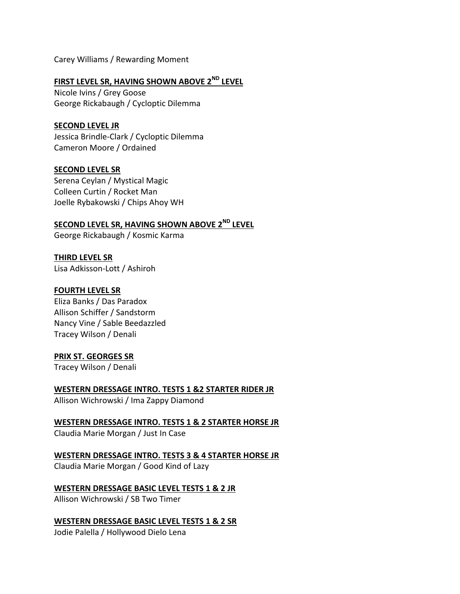Carey Williams / Rewarding Moment

#### **FIRST LEVEL SR, HAVING SHOWN ABOVE 2ND LEVEL**

Nicole Ivins / Grey Goose George Rickabaugh / Cycloptic Dilemma

#### **SECOND LEVEL JR**

Jessica Brindle-Clark / Cycloptic Dilemma Cameron Moore / Ordained

#### **SECOND LEVEL SR**

Serena Ceylan / Mystical Magic Colleen Curtin / Rocket Man Joelle Rybakowski / Chips Ahoy WH

**SECOND LEVEL SR, HAVING SHOWN ABOVE 2ND LEVEL** George Rickabaugh / Kosmic Karma

**THIRD LEVEL SR** Lisa Adkisson-Lott / Ashiroh

#### **FOURTH LEVEL SR**

Eliza Banks / Das Paradox Allison Schiffer / Sandstorm Nancy Vine / Sable Beedazzled Tracey Wilson / Denali

#### **PRIX ST. GEORGES SR**

Tracey Wilson / Denali

**WESTERN DRESSAGE INTRO. TESTS 1 &2 STARTER RIDER JR**

Allison Wichrowski / Ima Zappy Diamond

**WESTERN DRESSAGE INTRO. TESTS 1 & 2 STARTER HORSE JR** Claudia Marie Morgan / Just In Case

#### **WESTERN DRESSAGE INTRO. TESTS 3 & 4 STARTER HORSE JR**

Claudia Marie Morgan / Good Kind of Lazy

**WESTERN DRESSAGE BASIC LEVEL TESTS 1 & 2 JR**

Allison Wichrowski / SB Two Timer

#### **WESTERN DRESSAGE BASIC LEVEL TESTS 1 & 2 SR**

Jodie Palella / Hollywood Dielo Lena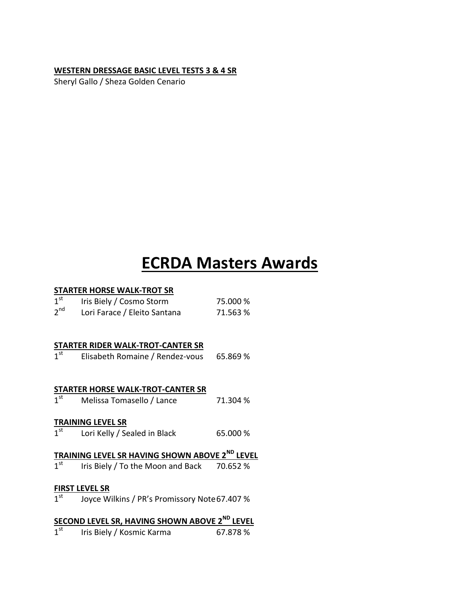#### **WESTERN DRESSAGE BASIC LEVEL TESTS 3 & 4 SR**

Sheryl Gallo / Sheza Golden Cenario

## **ECRDA Masters Awards**

#### **STARTER HORSE WALK-TROT SR**

| 1 <sup>st</sup> | Iris Biely / Cosmo Storm     | 75.000 % |
|-----------------|------------------------------|----------|
| 2 <sup>nd</sup> | Lori Farace / Eleito Santana | 71.563%  |

#### **STARTER RIDER WALK-TROT-CANTER SR**

 $1^{\text{st}}$ Elisabeth Romaine / Rendez-vous 65.869 %

#### **STARTER HORSE WALK-TROT-CANTER SR**

 $1<sup>st</sup>$ Melissa Tomasello / Lance 71.304 %

#### **TRAINING LEVEL SR**

 $1^{\text{st}}$ Lori Kelly / Sealed in Black 65.000 %

### **TRAINING LEVEL SR HAVING SHOWN ABOVE 2ND LEVEL**

 $1<sup>st</sup>$  Iris Biely / To the Moon and Back 70.652 %

#### **FIRST LEVEL SR**

- $1^{\text{st}}$ Joyce Wilkins / PR's Promissory Note67.407 %
- **SECOND LEVEL SR, HAVING SHOWN ABOVE 2ND LEVEL**
- $1^{\text{st}}$ Iris Biely / Kosmic Karma 67.878 %